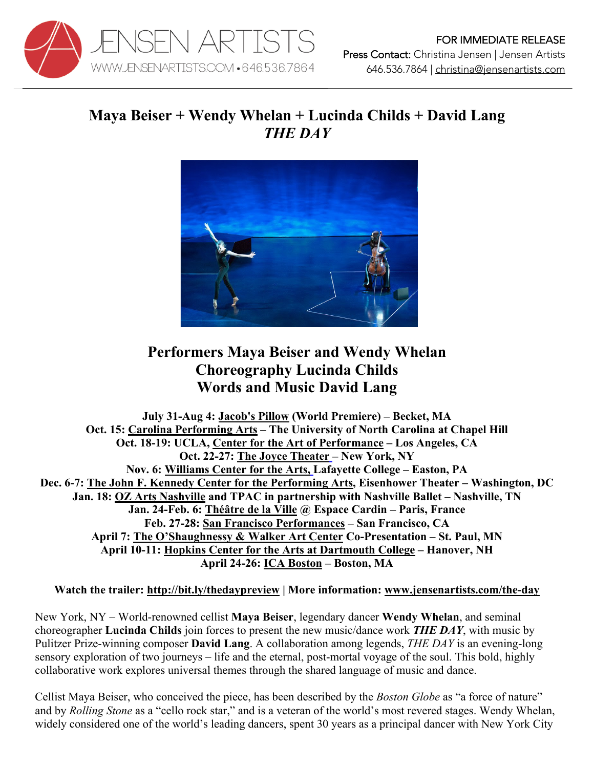

## **Maya Beiser + Wendy Whelan + Lucinda Childs + David Lang** *THE DAY*



## **Performers Maya Beiser and Wendy Whelan Choreography Lucinda Childs Words and Music David Lang**

**July 31-Aug 4: Jacob's Pillow (World Premiere) – Becket, MA Oct. 15: Carolina Performing Arts – The University of North Carolina at Chapel Hill Oct. 18-19: UCLA, Center for the Art of Performance – Los Angeles, CA Oct. 22-27: The Joyce Theater – New York, NY Nov. 6: Williams Center for the Arts, Lafayette College – Easton, PA Dec. 6-7: The John F. Kennedy Center for the Performing Arts, Eisenhower Theater – Washington, DC Jan. 18: OZ Arts Nashville and TPAC in partnership with Nashville Ballet – Nashville, TN Jan. 24-Feb. 6: Théâtre de la Ville @ Espace Cardin – Paris, France Feb. 27-28: San Francisco Performances – San Francisco, CA April 7: The O'Shaughnessy & Walker Art Center Co-Presentation – St. Paul, MN April 10-11: Hopkins Center for the Arts at Dartmouth College – Hanover, NH April 24-26: ICA Boston – Boston, MA**

## **Watch the trailer: http://bit.ly/thedaypreview | More information: www.jensenartists.com/the-day**

New York, NY – World-renowned cellist **Maya Beiser**, legendary dancer **Wendy Whelan**, and seminal choreographer **Lucinda Childs** join forces to present the new music/dance work *THE DAY*, with music by Pulitzer Prize-winning composer **David Lang**. A collaboration among legends, *THE DAY* is an evening-long sensory exploration of two journeys – life and the eternal, post-mortal voyage of the soul. This bold, highly collaborative work explores universal themes through the shared language of music and dance.

Cellist Maya Beiser, who conceived the piece, has been described by the *Boston Globe* as "a force of nature" and by *Rolling Stone* as a "cello rock star," and is a veteran of the world's most revered stages. Wendy Whelan, widely considered one of the world's leading dancers, spent 30 years as a principal dancer with New York City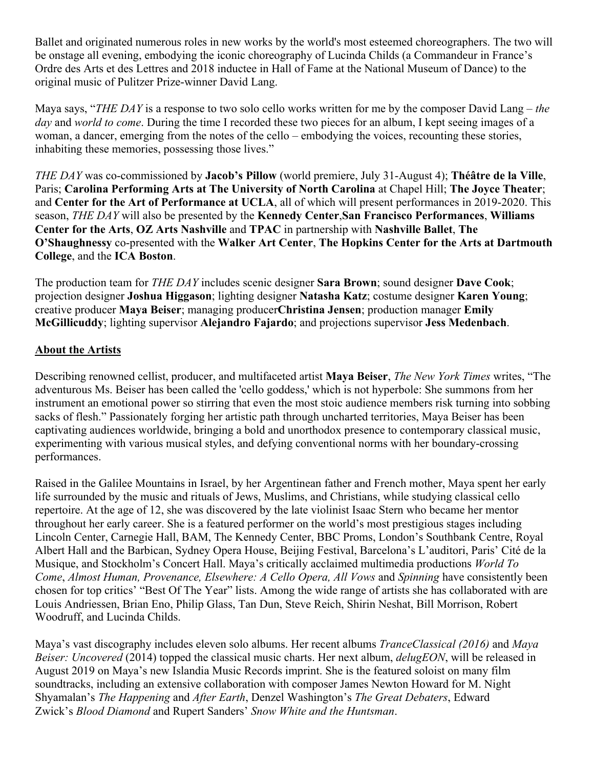Ballet and originated numerous roles in new works by the world's most esteemed choreographers. The two will be onstage all evening, embodying the iconic choreography of Lucinda Childs (a Commandeur in France's Ordre des Arts et des Lettres and 2018 inductee in Hall of Fame at the National Museum of Dance) to the original music of Pulitzer Prize-winner David Lang.

Maya says, "*THE DAY* is a response to two solo cello works written for me by the composer David Lang – *the day* and *world to come*. During the time I recorded these two pieces for an album, I kept seeing images of a woman, a dancer, emerging from the notes of the cello – embodying the voices, recounting these stories, inhabiting these memories, possessing those lives."

*THE DAY* was co-commissioned by **Jacob's Pillow** (world premiere, July 31-August 4); **Théâtre de la Ville**, Paris; **Carolina Performing Arts at The University of North Carolina** at Chapel Hill; **The Joyce Theater**; and **Center for the Art of Performance at UCLA**, all of which will present performances in 2019-2020. This season, *THE DAY* will also be presented by the **Kennedy Center**,**San Francisco Performances**, **Williams Center for the Arts**, **OZ Arts Nashville** and **TPAC** in partnership with **Nashville Ballet**, **The O'Shaughnessy** co-presented with the **Walker Art Center**, **The Hopkins Center for the Arts at Dartmouth College**, and the **ICA Boston**.

The production team for *THE DAY* includes scenic designer **Sara Brown**; sound designer **Dave Cook**; projection designer **Joshua Higgason**; lighting designer **Natasha Katz**; costume designer **Karen Young**; creative producer **Maya Beiser**; managing producer**Christina Jensen**; production manager **Emily McGillicuddy**; lighting supervisor **Alejandro Fajardo**; and projections supervisor **Jess Medenbach**.

## **About the Artists**

Describing renowned cellist, producer, and multifaceted artist **Maya Beiser**, *The New York Times* writes, "The adventurous Ms. Beiser has been called the 'cello goddess,' which is not hyperbole: She summons from her instrument an emotional power so stirring that even the most stoic audience members risk turning into sobbing sacks of flesh." Passionately forging her artistic path through uncharted territories, Maya Beiser has been captivating audiences worldwide, bringing a bold and unorthodox presence to contemporary classical music, experimenting with various musical styles, and defying conventional norms with her boundary-crossing performances.

Raised in the Galilee Mountains in Israel, by her Argentinean father and French mother, Maya spent her early life surrounded by the music and rituals of Jews, Muslims, and Christians, while studying classical cello repertoire. At the age of 12, she was discovered by the late violinist Isaac Stern who became her mentor throughout her early career. She is a featured performer on the world's most prestigious stages including Lincoln Center, Carnegie Hall, BAM, The Kennedy Center, BBC Proms, London's Southbank Centre, Royal Albert Hall and the Barbican, Sydney Opera House, Beijing Festival, Barcelona's L'auditori, Paris' Cité de la Musique, and Stockholm's Concert Hall. Maya's critically acclaimed multimedia productions *World To Come*, *Almost Human, Provenance, Elsewhere: A Cello Opera, All Vows* and *Spinning* have consistently been chosen for top critics' "Best Of The Year" lists. Among the wide range of artists she has collaborated with are Louis Andriessen, Brian Eno, Philip Glass, Tan Dun, Steve Reich, Shirin Neshat, Bill Morrison, Robert Woodruff, and Lucinda Childs.

Maya's vast discography includes eleven solo albums. Her recent albums *TranceClassical (2016)* and *Maya Beiser: Uncovered* (2014) topped the classical music charts. Her next album, *delugEON*, will be released in August 2019 on Maya's new Islandia Music Records imprint. She is the featured soloist on many film soundtracks, including an extensive collaboration with composer James Newton Howard for M. Night Shyamalan's *The Happening* and *After Earth*, Denzel Washington's *The Great Debaters*, Edward Zwick's *Blood Diamond* and Rupert Sanders' *Snow White and the Huntsman*.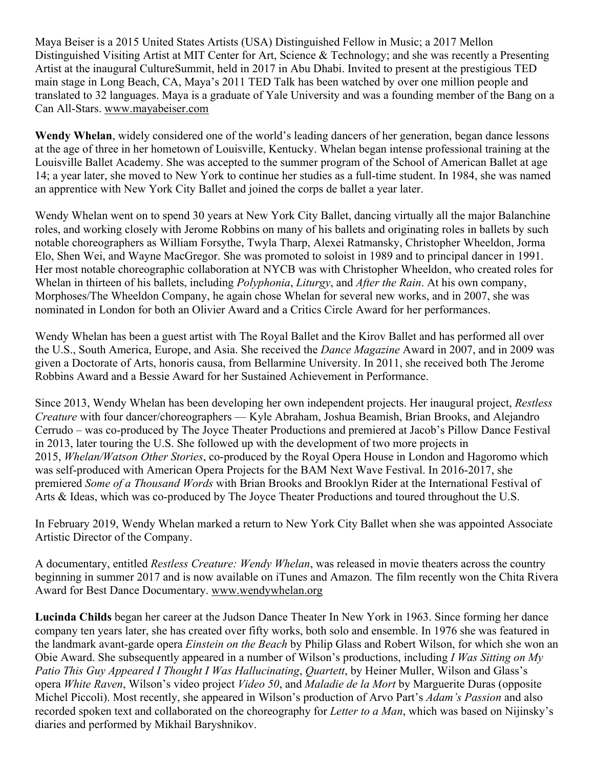Maya Beiser is a 2015 United States Artists (USA) Distinguished Fellow in Music; a 2017 Mellon Distinguished Visiting Artist at MIT Center for Art, Science & Technology; and she was recently a Presenting Artist at the inaugural CultureSummit, held in 2017 in Abu Dhabi. Invited to present at the prestigious TED main stage in Long Beach, CA, Maya's 2011 TED Talk has been watched by over one million people and translated to 32 languages. Maya is a graduate of Yale University and was a founding member of the Bang on a Can All-Stars. www.mayabeiser.com

**Wendy Whelan**, widely considered one of the world's leading dancers of her generation, began dance lessons at the age of three in her hometown of Louisville, Kentucky. Whelan began intense professional training at the Louisville Ballet Academy. She was accepted to the summer program of the School of American Ballet at age 14; a year later, she moved to New York to continue her studies as a full-time student. In 1984, she was named an apprentice with New York City Ballet and joined the corps de ballet a year later.

Wendy Whelan went on to spend 30 years at New York City Ballet, dancing virtually all the major Balanchine roles, and working closely with Jerome Robbins on many of his ballets and originating roles in ballets by such notable choreographers as William Forsythe, Twyla Tharp, Alexei Ratmansky, Christopher Wheeldon, Jorma Elo, Shen Wei, and Wayne MacGregor. She was promoted to soloist in 1989 and to principal dancer in 1991. Her most notable choreographic collaboration at NYCB was with Christopher Wheeldon, who created roles for Whelan in thirteen of his ballets, including *Polyphonia*, *Liturgy*, and *After the Rain*. At his own company, Morphoses/The Wheeldon Company, he again chose Whelan for several new works, and in 2007, she was nominated in London for both an Olivier Award and a Critics Circle Award for her performances.

Wendy Whelan has been a guest artist with The Royal Ballet and the Kirov Ballet and has performed all over the U.S., South America, Europe, and Asia. She received the *Dance Magazine* Award in 2007, and in 2009 was given a Doctorate of Arts, honoris causa, from Bellarmine University. In 2011, she received both The Jerome Robbins Award and a Bessie Award for her Sustained Achievement in Performance.

Since 2013, Wendy Whelan has been developing her own independent projects. Her inaugural project, *Restless Creature* with four dancer/choreographers — Kyle Abraham, Joshua Beamish, Brian Brooks, and Alejandro Cerrudo – was co-produced by The Joyce Theater Productions and premiered at Jacob's Pillow Dance Festival in 2013, later touring the U.S. She followed up with the development of two more projects in 2015, *Whelan/Watson Other Stories*, co-produced by the Royal Opera House in London and Hagoromo which was self-produced with American Opera Projects for the BAM Next Wave Festival. In 2016-2017, she premiered *Some of a Thousand Words* with Brian Brooks and Brooklyn Rider at the International Festival of Arts & Ideas, which was co-produced by The Joyce Theater Productions and toured throughout the U.S.

In February 2019, Wendy Whelan marked a return to New York City Ballet when she was appointed Associate Artistic Director of the Company.

A documentary, entitled *Restless Creature: Wendy Whelan*, was released in movie theaters across the country beginning in summer 2017 and is now available on iTunes and Amazon. The film recently won the Chita Rivera Award for Best Dance Documentary. www.wendywhelan.org

**Lucinda Childs** began her career at the Judson Dance Theater In New York in 1963. Since forming her dance company ten years later, she has created over fifty works, both solo and ensemble. In 1976 she was featured in the landmark avant-garde opera *Einstein on the Beach* by Philip Glass and Robert Wilson, for which she won an Obie Award. She subsequently appeared in a number of Wilson's productions, including *I Was Sitting on My Patio This Guy Appeared I Thought I Was Hallucinating*, *Quartett*, by Heiner Muller, Wilson and Glass's opera *White Raven*, Wilson's video project *Video 50*, and *Maladie de la Mort* by Marguerite Duras (opposite Michel Piccoli). Most recently, she appeared in Wilson's production of Arvo Part's *Adam's Passion* and also recorded spoken text and collaborated on the choreography for *Letter to a Man*, which was based on Nijinsky's diaries and performed by Mikhail Baryshnikov.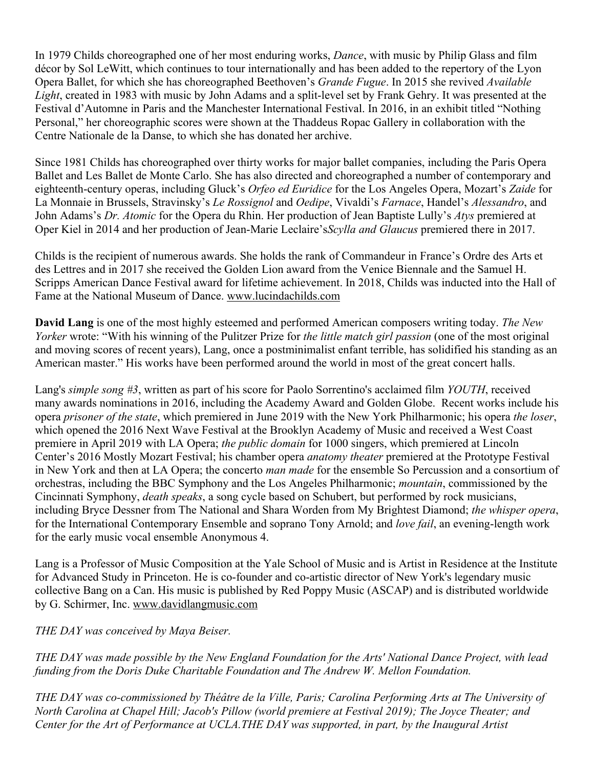In 1979 Childs choreographed one of her most enduring works, *Dance*, with music by Philip Glass and film décor by Sol LeWitt, which continues to tour internationally and has been added to the repertory of the Lyon Opera Ballet, for which she has choreographed Beethoven's *Grande Fugue*. In 2015 she revived *Available Light*, created in 1983 with music by John Adams and a split-level set by Frank Gehry. It was presented at the Festival d'Automne in Paris and the Manchester International Festival. In 2016, in an exhibit titled "Nothing Personal," her choreographic scores were shown at the Thaddeus Ropac Gallery in collaboration with the Centre Nationale de la Danse, to which she has donated her archive.

Since 1981 Childs has choreographed over thirty works for major ballet companies, including the Paris Opera Ballet and Les Ballet de Monte Carlo. She has also directed and choreographed a number of contemporary and eighteenth-century operas, including Gluck's *Orfeo ed Euridice* for the Los Angeles Opera, Mozart's *Zaide* for La Monnaie in Brussels, Stravinsky's *Le Rossignol* and *Oedipe*, Vivaldi's *Farnace*, Handel's *Alessandro*, and John Adams's *Dr. Atomic* for the Opera du Rhin. Her production of Jean Baptiste Lully's *Atys* premiered at Oper Kiel in 2014 and her production of Jean-Marie Leclaire's*Scylla and Glaucus* premiered there in 2017.

Childs is the recipient of numerous awards. She holds the rank of Commandeur in France's Ordre des Arts et des Lettres and in 2017 she received the Golden Lion award from the Venice Biennale and the Samuel H. Scripps American Dance Festival award for lifetime achievement. In 2018, Childs was inducted into the Hall of Fame at the National Museum of Dance. www.lucindachilds.com

**David Lang** is one of the most highly esteemed and performed American composers writing today. *The New Yorker* wrote: "With his winning of the Pulitzer Prize for *the little match girl passion* (one of the most original and moving scores of recent years), Lang, once a postminimalist enfant terrible, has solidified his standing as an American master." His works have been performed around the world in most of the great concert halls.

Lang's *simple song #3*, written as part of his score for Paolo Sorrentino's acclaimed film *YOUTH*, received many awards nominations in 2016, including the Academy Award and Golden Globe. Recent works include his opera *prisoner of the state*, which premiered in June 2019 with the New York Philharmonic; his opera *the loser*, which opened the 2016 Next Wave Festival at the Brooklyn Academy of Music and received a West Coast premiere in April 2019 with LA Opera; *the public domain* for 1000 singers, which premiered at Lincoln Center's 2016 Mostly Mozart Festival; his chamber opera *anatomy theater* premiered at the Prototype Festival in New York and then at LA Opera; the concerto *man made* for the ensemble So Percussion and a consortium of orchestras, including the BBC Symphony and the Los Angeles Philharmonic; *mountain*, commissioned by the Cincinnati Symphony, *death speaks*, a song cycle based on Schubert, but performed by rock musicians, including Bryce Dessner from The National and Shara Worden from My Brightest Diamond; *the whisper opera*, for the International Contemporary Ensemble and soprano Tony Arnold; and *love fail*, an evening-length work for the early music vocal ensemble Anonymous 4.

Lang is a Professor of Music Composition at the Yale School of Music and is Artist in Residence at the Institute for Advanced Study in Princeton. He is co-founder and co-artistic director of New York's legendary music collective Bang on a Can. His music is published by Red Poppy Music (ASCAP) and is distributed worldwide by G. Schirmer, Inc. www.davidlangmusic.com

*THE DAY was conceived by Maya Beiser.*

THE DAY was made possible by the New England Foundation for the Arts' National Dance Project, with lead *funding from the Doris Duke Charitable Foundation and The Andrew W. Mellon Foundation.*

*THE DAY was co-commissioned by Théâtre de la Ville, Paris; Carolina Performing Arts at The University of North Carolina at Chapel Hill; Jacob's Pillow (world premiere at Festival 2019); The Joyce Theater; and Center for the Art of Performance at UCLA.THE DAY was supported, in part, by the Inaugural Artist*